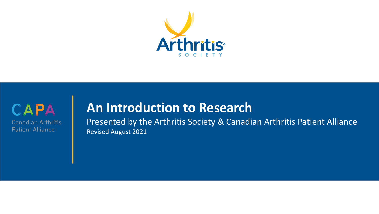



### **An Introduction to Research**

Presented by the Arthritis Society & Canadian Arthritis Patient Alliance Revised August 2021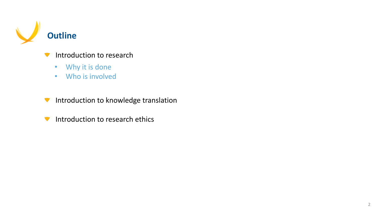

- Introduction to research  $\blacksquare$ 
	- Why it is done
	- Who is involved
- Introduction to knowledge translation
- Introduction to research ethics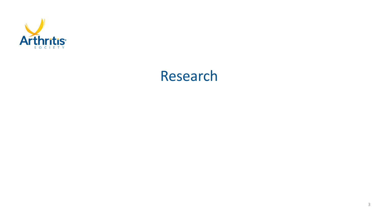

### Research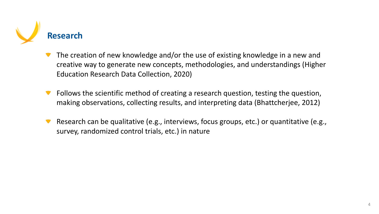

- The creation of new knowledge and/or the use of existing knowledge in a new and creative way to generate new concepts, methodologies, and understandings (Higher Education Research Data Collection, 2020)
- Follows the scientific method of creating a research question, testing the question, making observations, collecting results, and interpreting data (Bhattcherjee, 2012)
- Research can be qualitative (e.g., interviews, focus groups, etc.) or quantitative (e.g., survey, randomized control trials, etc.) in nature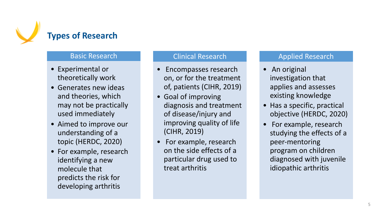

#### **Basic Research**

- Experimental or theoretically work
- Generates new ideas and theories, which may not be practically used immediately
- Aimed to improve our understanding of a topic (HERDC, 2020)
- For example, research identifying a new molecule that predicts the risk for developing arthritis

#### Clinical Research

- Encompasses research on, or for the treatment of, patients (CIHR, 2019)
- Goal of improving diagnosis and treatment of disease/injury and improving quality of life (CIHR, 2019)
- For example, research on the side effects of a particular drug used to treat arthritis

#### Applied Research

- An original investigation that applies and assesses existing knowledge
- Has a specific, practical objective (HERDC, 2020)
- For example, research studying the effects of a peer-mentoring program on children diagnosed with juvenile idiopathic arthritis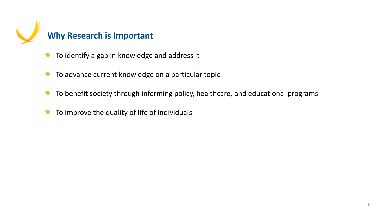

- To identify a gap in knowledge and address it
- To advance current knowledge on a particular topic
- To benefit society through informing policy, healthcare, and educational programs
- To improve the quality of life of individuals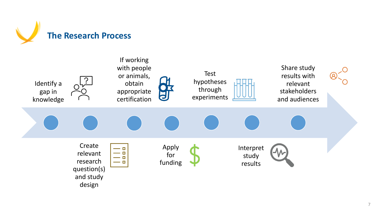

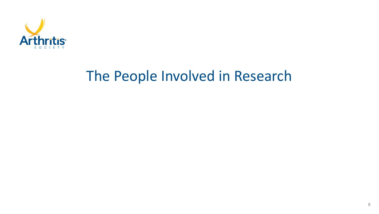

## The People Involved in Research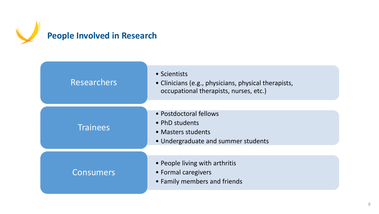

| <b>Researchers</b> | • Scientists<br>• Clinicians (e.g., physicians, physical therapists,<br>occupational therapists, nurses, etc.) |
|--------------------|----------------------------------------------------------------------------------------------------------------|
| <b>Trainees</b>    | • Postdoctoral fellows<br>• PhD students<br>• Masters students<br>• Undergraduate and summer students          |
| Consumers          | • People living with arthritis<br>• Formal caregivers<br>• Family members and friends                          |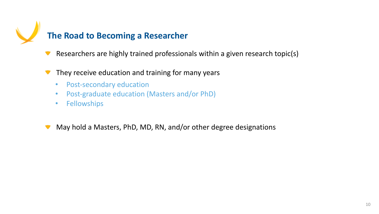

- Researchers are highly trained professionals within a given research topic(s)
- They receive education and training for many years
	- Post-secondary education
	- Post-graduate education (Masters and/or PhD)
	- Fellowships
- May hold a Masters, PhD, MD, RN, and/or other degree designations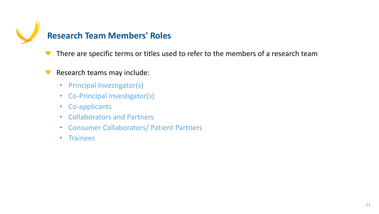

There are specific terms or titles used to refer to the members of a research team

#### Research teams may include:  $\blacksquare$

- Principal Investigator(s)
- Co-Principal Investigator(s)
- Co-applicants
- Collaborators and Partners
- Consumer Collaborators/ Patient Partners
- Trainees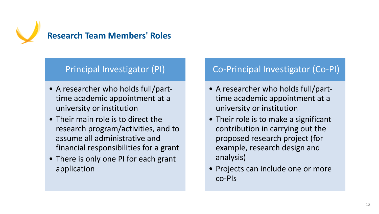

### Principal Investigator (PI)

- A researcher who holds full/parttime academic appointment at a university or institution
- Their main role is to direct the research program/activities, and to assume all administrative and financial responsibilities for a grant
- There is only one PI for each grant application

#### Co-Principal Investigator (Co-PI)

- A researcher who holds full/parttime academic appointment at a university or institution
- Their role is to make a significant contribution in carrying out the proposed research project (for example, research design and analysis)
- Projects can include one or more co-PIs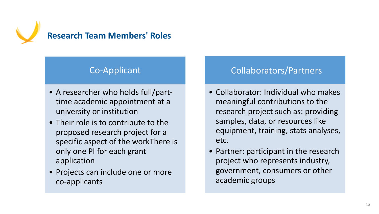

#### Co-Applicant

- A researcher who holds full/parttime academic appointment at a university or institution
- Their role is to contribute to the proposed research project for a specific aspect of the workThere is only one PI for each grant application
- Projects can include one or more co-applicants

#### Collaborators/Partners

- Collaborator: Individual who makes meaningful contributions to the research project such as: providing samples, data, or resources like equipment, training, stats analyses, etc.
- Partner: participant in the research project who represents industry, government, consumers or other academic groups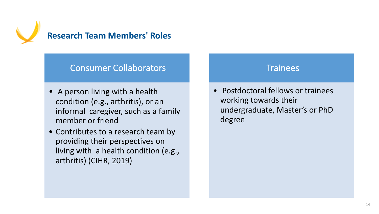

#### Consumer Collaborators

- A person living with a health condition (e.g., arthritis), or an informal caregiver, such as a family member or friend
- Contributes to a research team by providing their perspectives on living with a health condition (e.g., arthritis) (CIHR, 2019)

#### **Trainees**

• Postdoctoral fellows or trainees working towards their undergraduate, Master's or PhD degree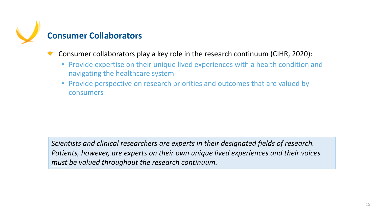

- Consumer collaborators play a key role in the research continuum (CIHR, 2020):
	- Provide expertise on their unique lived experiences with a health condition and navigating the healthcare system
	- Provide perspective on research priorities and outcomes that are valued by consumers

*Scientists and clinical researchers are experts in their designated fields of research. Patients, however, are experts on their own unique lived experiences and their voices must be valued throughout the research continuum.*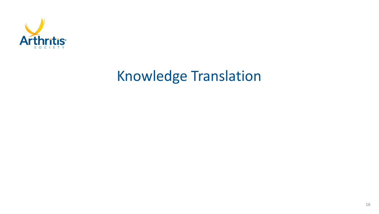

# Knowledge Translation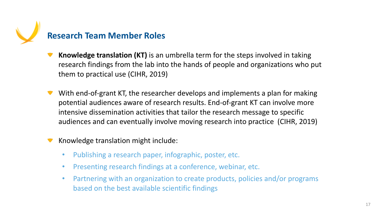

- **Knowledge translation (KT)** is an umbrella term for the steps involved in taking research findings from the lab into the hands of people and organizations who put them to practical use (CIHR, 2019)
- With end-of-grant KT, the researcher develops and implements a plan for making potential audiences aware of research results. End-of-grant KT can involve more intensive dissemination activities that tailor the research message to specific audiences and can eventually involve moving research into practice (CIHR, 2019)

#### Knowledge translation might include:

- Publishing a research paper, infographic, poster, etc.
- Presenting research findings at a conference, webinar, etc.
- Partnering with an organization to create products, policies and/or programs based on the best available scientific findings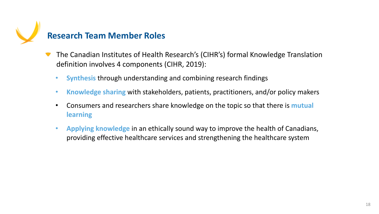

- The Canadian Institutes of Health Research's (CIHR's) formal Knowledge Translation definition involves 4 components (CIHR, 2019):
	- **Synthesis** through understanding and combining research findings
	- **Knowledge sharing** with stakeholders, patients, practitioners, and/or policy makers
	- Consumers and researchers share knowledge on the topic so that there is **mutual learning**
	- **Applying knowledge** in an ethically sound way to improve the health of Canadians, providing effective healthcare services and strengthening the healthcare system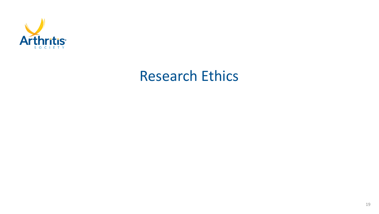

### Research Ethics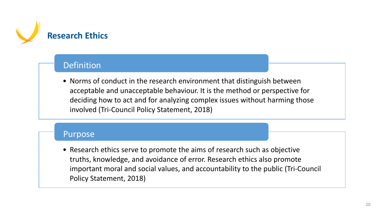

#### Definition

• Norms of conduct in the research environment that distinguish between acceptable and unacceptable behaviour. It is the method or perspective for deciding how to act and for analyzing complex issues without harming those involved (Tri-Council Policy Statement, 2018)

#### Purpose

• Research ethics serve to promote the aims of research such as objective truths, knowledge, and avoidance of error. Research ethics also promote important moral and social values, and accountability to the public (Tri-Council Policy Statement, 2018)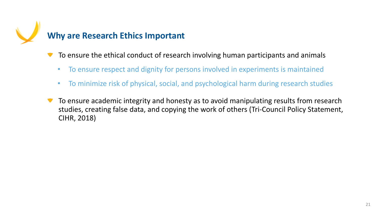

- To ensure the ethical conduct of research involving human participants and animals
	- To ensure respect and dignity for persons involved in experiments is maintained
	- To minimize risk of physical, social, and psychological harm during research studies
- To ensure academic integrity and honesty as to avoid manipulating results from research studies, creating false data, and copying the work of others (Tri-Council Policy Statement, CIHR, 2018)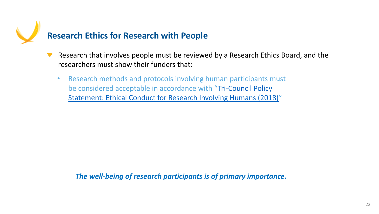

- Research that involves people must be reviewed by a Research that involves people must be reviewed by a Rese researchers must show their funders that:
	- Research methods and protocols involving human part be considered acceptable in accordance with "Tri-Cou Statement: Ethical Conduct for Research Involving Hur

**The well-being of research participants is of primar**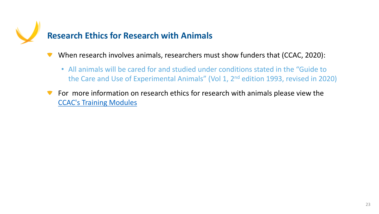

When research involves animals, researchers must show that

• All animals will be cared for and studied under conditions. the Care and Use of Experimental Animals" (Vol 1, 2<sup>nd</sup>

For more information on research ethics for research with  $\blacksquare$ CCAC's Training Modules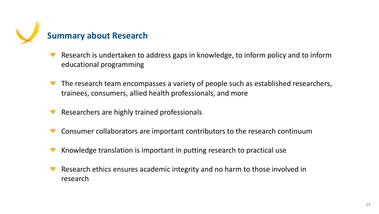

- Research is undertaken to address gaps in knowledge, to inform policy and to inform educational programming
- The research team encompasses a variety of people such as established researchers, trainees, consumers, allied health professionals, and more
- Researchers are highly trained professionals
- Consumer collaborators are important contributors to the research continuum
- Knowledge translation is important in putting research to practical use
- Research ethics ensures academic integrity and no harm to those involved in research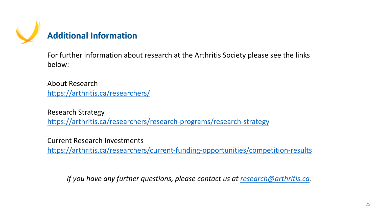

## **Additional Information**

For further information about research at the Arthritis Societ below:

About Research https://arthritis.ca/researchers/

Research Strategy https://arthritis.ca/researchers/research-programs/research

Current Research Investments https://arthritis.ca/researchers/current-funding-opportunitie

*If you have any further questions, please contact us at*